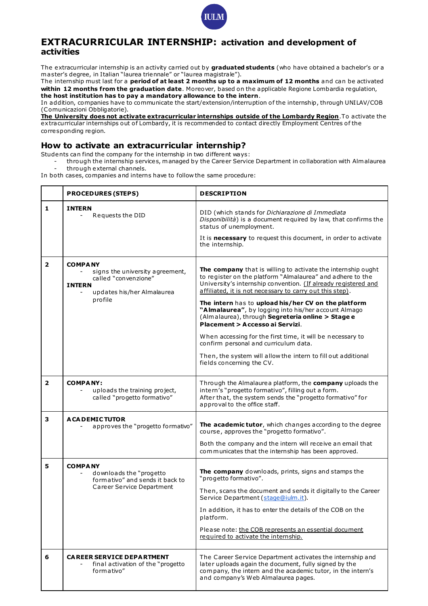

## **EXTRACURRICULAR INTERNSHIP: activation and development of activities**

The extracurricular internship is an activity carried out by **graduated students** (who have obtained a bachelor's or a m aster's degree, in Italian "laurea triennale" or "laurea magistrale").

The internship must last for a **period of at least 2 months up to a maximum of 12 months** and can be activated **within 12 months from the graduation date**. Moreover, based on the applicable Regione Lombardia regulation, **the host institution has to pay a mandatory allowance to the intern**.

In addition, companies have to communicate the start/extension/interruption of the internship, through UNILAV/COB (Comunicazioni Obbligatorie).

**The University does not activate extracurricular internships outside of the Lombardy Region**.To activate the extracurricular internships out of Lombardy, it is recommended to contact directly Employment Centres of the corresponding region.

## **How to activate an extracurricular internship?**

Students can find the company for the internship in two different ways:

- through the internship services, m anaged by the Career Service Department in collaboration with Alm alaurea through external channels.

In both cases, companies and interns have to follow the same procedure:

|                         | <b>PROCEDURES (STEPS)</b>                                                                                                           | <b>DESCRIPTION</b>                                                                                                                                                                                                                                                                                                                                                                                                                                                                                                                                                                                                                                                   |
|-------------------------|-------------------------------------------------------------------------------------------------------------------------------------|----------------------------------------------------------------------------------------------------------------------------------------------------------------------------------------------------------------------------------------------------------------------------------------------------------------------------------------------------------------------------------------------------------------------------------------------------------------------------------------------------------------------------------------------------------------------------------------------------------------------------------------------------------------------|
| 1                       | <b>INTERN</b><br>Requests the DID                                                                                                   | DID (which stands for Dichiarazione di Immediata<br>Disponibilità) is a document required by law, that confirms the<br>status of unemployment.<br>It is necessary to request this document, in order to activate<br>the internship.                                                                                                                                                                                                                                                                                                                                                                                                                                  |
| $\overline{\mathbf{2}}$ | <b>COMPANY</b><br>signs the university agreement,<br>called "convenzione"<br><b>INTERN</b><br>updates his/her Almalaurea<br>profile | The company that is willing to activate the internship ought<br>to register on the platform "Almalaurea" and adhere to the<br>University's internship convention. (If already registered and<br>affiliated, it is not necessary to carry out this step).<br>The intern has to upload his/her CV on the platform<br>"Almalaurea", by logging into his/her account Almago<br>(Almalaurea), through Segreteria online > Stage e<br>Placement > Accesso ai Servizi.<br>When accessing for the first time, it will be necessary to<br>confirm personal and curriculum data.<br>Then, the system will allow the intern to fill out additional<br>fields concerning the CV. |
| $\overline{\mathbf{2}}$ | <b>COMPANY:</b><br>uploads the training project,<br>$\overline{\phantom{a}}$<br>called "progetto formativo"                         | Through the Almalaurea platform, the company uploads the<br>intern's "progetto formativo", filling out a form.<br>After that, the system sends the "progetto formativo" for<br>approval to the office staff.                                                                                                                                                                                                                                                                                                                                                                                                                                                         |
| з                       | <b>ACADEMICTUTOR</b><br>approves the "progetto formativo"                                                                           | The academic tutor, which changes according to the degree<br>course, approves the "progetto formativo".<br>Both the company and the intern will receive an email that<br>communicates that the internship has been approved.                                                                                                                                                                                                                                                                                                                                                                                                                                         |
| 5                       | <b>COMPANY</b><br>downloads the "progetto<br>formativo" and sends it back to<br>Career Service Department                           | The company downloads, prints, signs and stamps the<br>"progetto formativo".<br>Then, scans the document and sends it digitally to the Career<br>Service Department (stage@iulm.it).<br>In addition, it has to enter the details of the COB on the<br>platform.<br>Please note: the COB represents an essential document<br>required to activate the internship.                                                                                                                                                                                                                                                                                                     |
| 6                       | <b>CAREER SERVICE DEPARTMENT</b><br>final activation of the "progetto<br>formativo"                                                 | The Career Service Department activates the internship and<br>later uploads again the document, fully signed by the<br>company, the intern and the academic tutor, in the intern's<br>and company's Web Almalaurea pages.                                                                                                                                                                                                                                                                                                                                                                                                                                            |